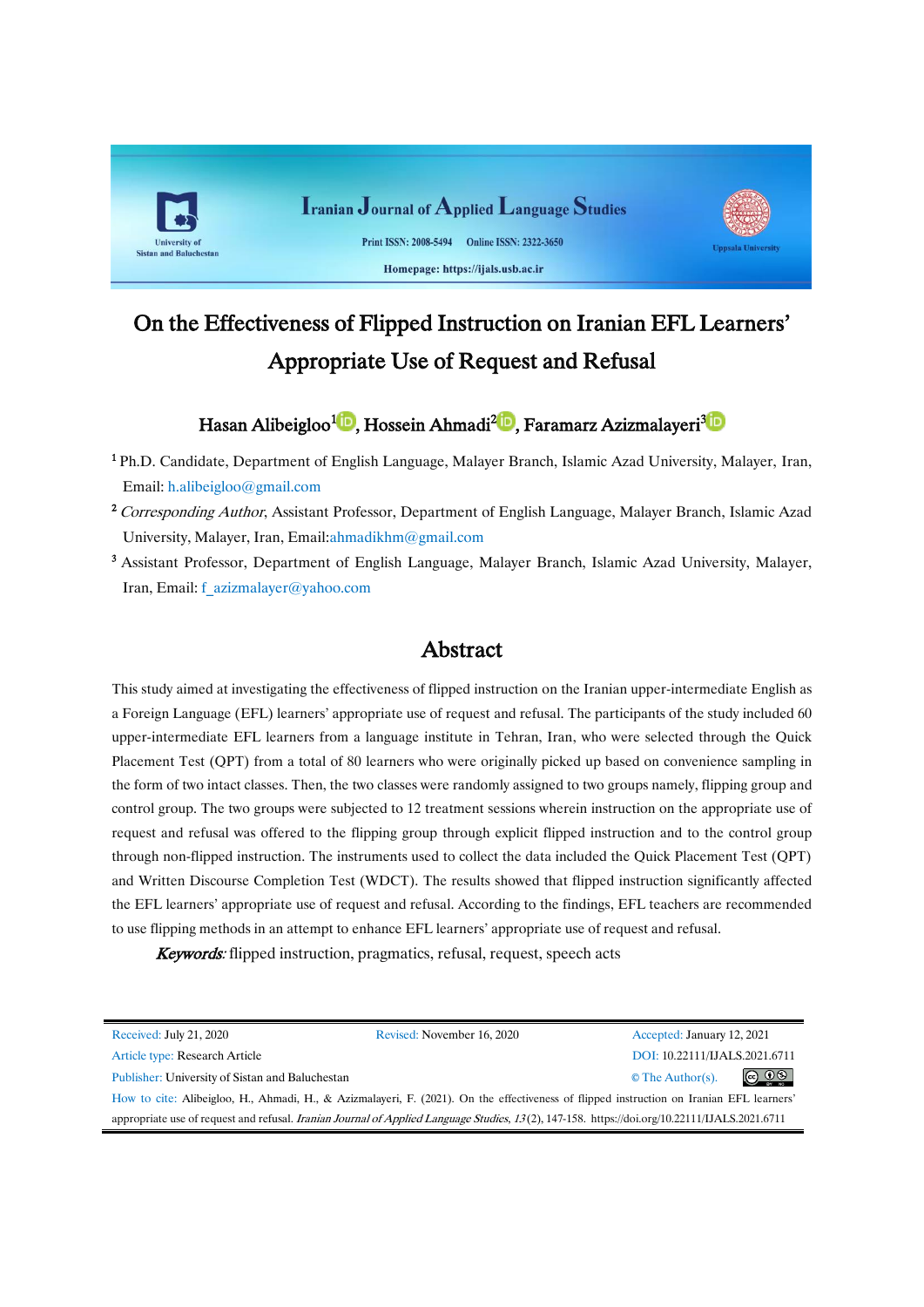

# On the Effectiveness of Flipped Instruction on Iranian EFL Learners' Appropriate Use of Request and Refusal

# Hasan Alibeigloo<sup>1</sup><sup>10</sup>[,](https://orcid.org/0000-0002-9448-5760)Hossein Ahmadi<sup>210</sup>, Faramarz Azizmalayeri<sup>315</sup>

<sup>1</sup> Ph.D. Candidate, Department of English Language, Malayer Branch, Islamic Azad University, Malayer, Iran, Email: h.alibeigloo@gmail.com

- <sup>2</sup> Corresponding Author, Assistant Professor, Department of English Language, Malayer Branch, Islamic Azad University, Malayer, Iran, Email:ahmadikhm@gmail.com
- <sup>3</sup> Assistant Professor, Department of English Language, Malayer Branch, Islamic Azad University, Malayer, Iran, Email: f\_azizmalayer@yahoo.com

# Abstract

This study aimed at investigating the effectiveness of flipped instruction on the Iranian upper-intermediate English as a Foreign Language (EFL) learners' appropriate use of request and refusal. The participants of the study included 60 upper-intermediate EFL learners from a language institute in Tehran, Iran, who were selected through the Quick Placement Test (QPT) from a total of 80 learners who were originally picked up based on convenience sampling in the form of two intact classes. Then, the two classes were randomly assigned to two groups namely, flipping group and control group. The two groups were subjected to 12 treatment sessions wherein instruction on the appropriate use of request and refusal was offered to the flipping group through explicit flipped instruction and to the control group through non-flipped instruction. The instruments used to collect the data included the Quick Placement Test (QPT) and Written Discourse Completion Test (WDCT). The results showed that flipped instruction significantly affected the EFL learners' appropriate use of request and refusal. According to the findings, EFL teachers are recommended to use flipping methods in an attempt to enhance EFL learners' appropriate use of request and refusal.

Keywords: flipped instruction, pragmatics, refusal, request, speech acts

| Received: July 21, 2020                                                                                                                       | Revised: November 16, 2020 | Accepted: January 12, 2021    |                               |  |  |  |
|-----------------------------------------------------------------------------------------------------------------------------------------------|----------------------------|-------------------------------|-------------------------------|--|--|--|
| Article type: Research Article                                                                                                                |                            | DOI: 10.22111/IJALS.2021.6711 |                               |  |  |  |
| Publisher: University of Sistan and Baluchestan                                                                                               |                            | $\circ$ The Author(s).        | $\circledcirc$ $\circledcirc$ |  |  |  |
| How to cite: Alibeigloo, H., Ahmadi, H., & Azizmalayeri, F. (2021). On the effectiveness of flipped instruction on Iranian EFL learners'      |                            |                               |                               |  |  |  |
| appropriate use of request and refusal. Iranian Journal of Applied Language Studies, 13(2), 147-158. https://doi.org/10.22111/IJALS.2021.6711 |                            |                               |                               |  |  |  |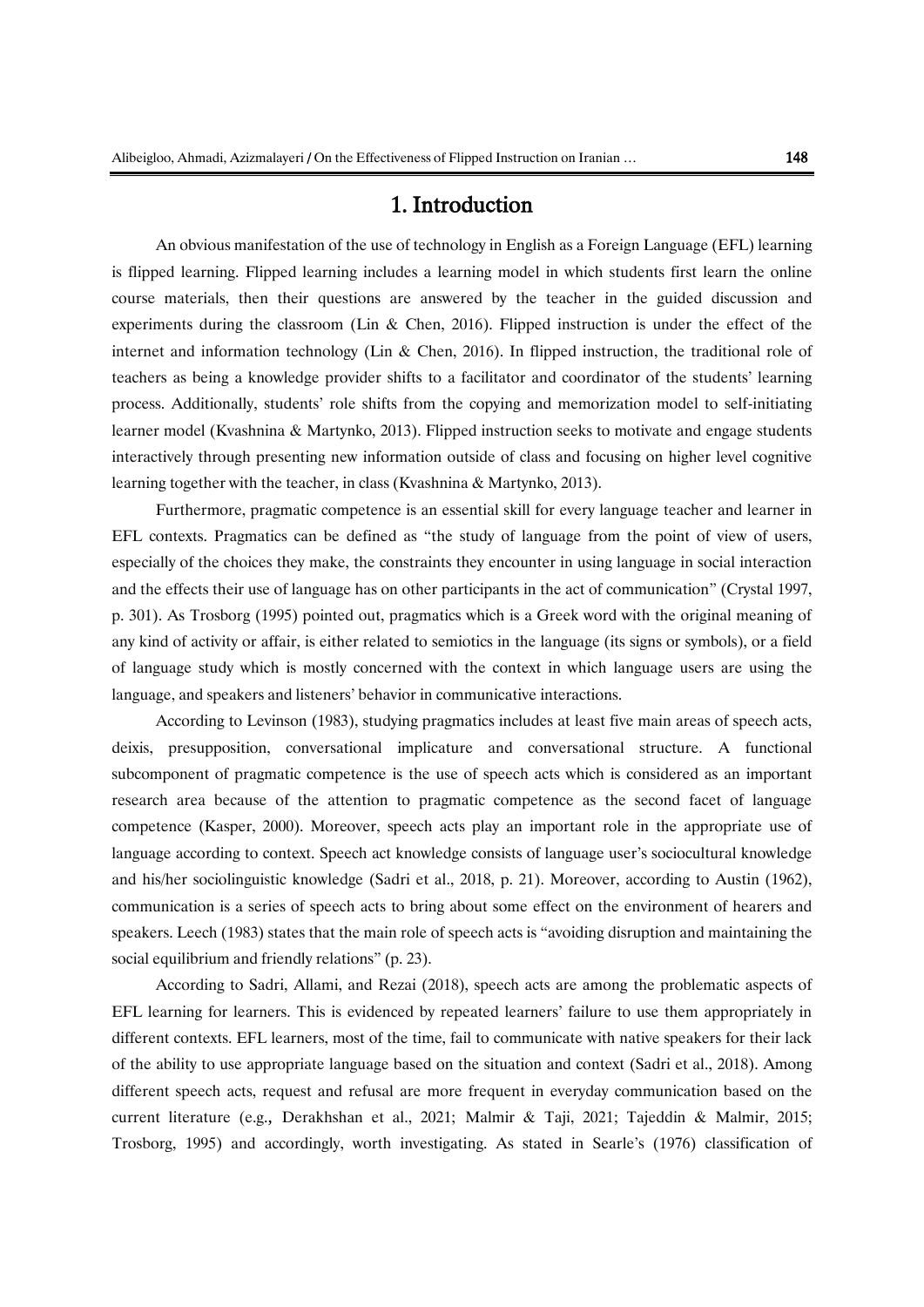# 1. Introduction

An obvious manifestation of the use of technology in English as a Foreign Language (EFL) learning is flipped learning. Flipped learning includes a learning model in which students first learn the online course materials, then their questions are answered by the teacher in the guided discussion and experiments during the classroom (Lin & Chen, 2016). Flipped instruction is under the effect of the internet and information technology (Lin & Chen, 2016). In flipped instruction, the traditional role of teachers as being a knowledge provider shifts to a facilitator and coordinator of the students' learning process. Additionally, students' role shifts from the copying and memorization model to self-initiating learner model (Kvashnina & Martynko, 2013). Flipped instruction seeks to motivate and engage students interactively through presenting new information outside of class and focusing on higher level cognitive learning together with the teacher, in class (Kvashnina & Martynko, 2013).

Furthermore, pragmatic competence is an essential skill for every language teacher and learner in EFL contexts. Pragmatics can be defined as "the study of language from the point of view of users, especially of the choices they make, the constraints they encounter in using language in social interaction and the effects their use of language has on other participants in the act of communication" (Crystal 1997, p. 301). As Trosborg (1995) pointed out, pragmatics which is a Greek word with the original meaning of any kind of activity or affair, is either related to semiotics in the language (its signs or symbols), or a field of language study which is mostly concerned with the context in which language users are using the language, and speakers and listeners' behavior in communicative interactions.

According to Levinson (1983), studying pragmatics includes at least five main areas of speech acts, deixis, presupposition, conversational implicature and conversational structure. A functional subcomponent of pragmatic competence is the use of speech acts which is considered as an important research area because of the attention to pragmatic competence as the second facet of language competence (Kasper, 2000). Moreover, speech acts play an important role in the appropriate use of language according to context. Speech act knowledge consists of language user's sociocultural knowledge and his/her sociolinguistic knowledge (Sadri et al., 2018, p. 21). Moreover, according to Austin (1962), communication is a series of speech acts to bring about some effect on the environment of hearers and speakers. Leech (1983) states that the main role of speech acts is "avoiding disruption and maintaining the social equilibrium and friendly relations" (p. 23).

According to Sadri, Allami, and Rezai (2018), speech acts are among the problematic aspects of EFL learning for learners. This is evidenced by repeated learners' failure to use them appropriately in different contexts. EFL learners, most of the time, fail to communicate with native speakers for their lack of the ability to use appropriate language based on the situation and context (Sadri et al., 2018). Among different speech acts, request and refusal are more frequent in everyday communication based on the current literature (e.g., Derakhshan et al., 2021; Malmir & Taji, 2021; Tajeddin & Malmir, 2015; Trosborg, 1995) and accordingly, worth investigating. As stated in Searle's (1976) classification of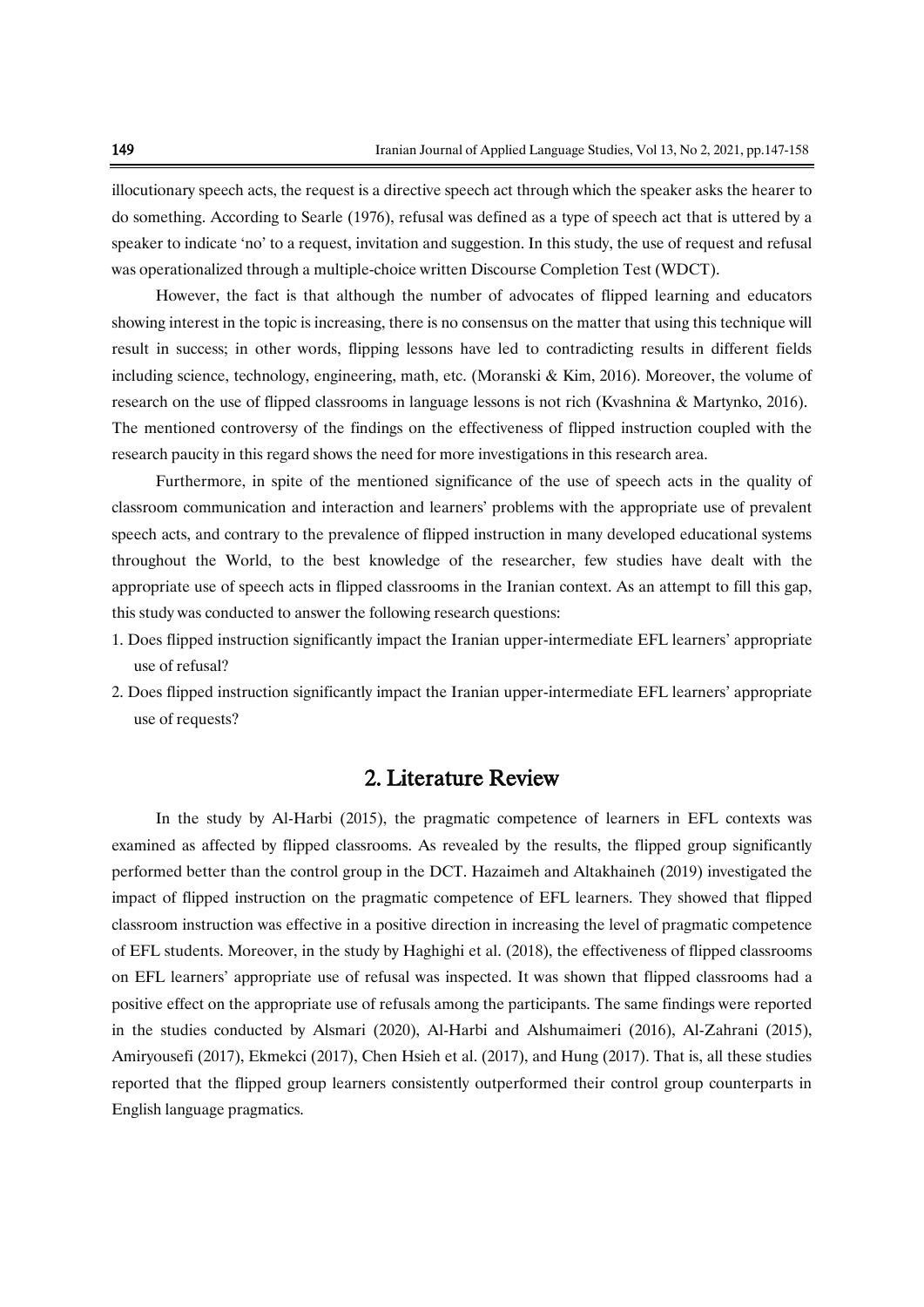illocutionary speech acts, the request is a directive speech act through which the speaker asks the hearer to do something. According to Searle (1976), refusal was defined as a type of speech act that is uttered by a speaker to indicate 'no' to a request, invitation and suggestion. In this study, the use of request and refusal was operationalized through a multiple-choice written Discourse Completion Test (WDCT).

However, the fact is that although the number of advocates of flipped learning and educators showing interest in the topic is increasing, there is no consensus on the matter that using this technique will result in success; in other words, flipping lessons have led to contradicting results in different fields including science, technology, engineering, math, etc. (Moranski & Kim, 2016). Moreover, the volume of research on the use of flipped classrooms in language lessons is not rich (Kvashnina & Martynko, 2016). The mentioned controversy of the findings on the effectiveness of flipped instruction coupled with the research paucity in this regard shows the need for more investigations in this research area.

Furthermore, in spite of the mentioned significance of the use of speech acts in the quality of classroom communication and interaction and learners' problems with the appropriate use of prevalent speech acts, and contrary to the prevalence of flipped instruction in many developed educational systems throughout the World, to the best knowledge of the researcher, few studies have dealt with the appropriate use of speech acts in flipped classrooms in the Iranian context. As an attempt to fill this gap, this study was conducted to answer the following research questions:

- 1. Does flipped instruction significantly impact the Iranian upper-intermediate EFL learners' appropriate use of refusal?
- 2. Does flipped instruction significantly impact the Iranian upper-intermediate EFL learners' appropriate use of requests?

# 2. Literature Review

In the study by Al-Harbi (2015), the pragmatic competence of learners in EFL contexts was examined as affected by flipped classrooms. As revealed by the results, the flipped group significantly performed better than the control group in the DCT. Hazaimeh and [Altakhaineh](http://ju-jo.academia.edu/AbdelRahmanMitibAltakhaineh?swp=tc-au-40805157) (2019) investigated the impact of flipped instruction on the pragmatic competence of EFL learners. They showed that flipped classroom instruction was effective in a positive direction in increasing the level of pragmatic competence of EFL students. Moreover, in the study by Haghighi et al. (2018), the effectiveness of flipped classrooms on EFL learners' appropriate use of refusal was inspected. It was shown that flipped classrooms had a positive effect on the appropriate use of refusals among the participants. The same findings were reported in the studies conducted by Alsmari (2020), Al-Harbi and Alshumaimeri (2016), Al-Zahrani (2015), Amiryousefi (2017), Ekmekci (2017), Chen Hsieh et al. (2017), and Hung (2017). That is, all these studies reported that the flipped group learners consistently outperformed their control group counterparts in English language pragmatics.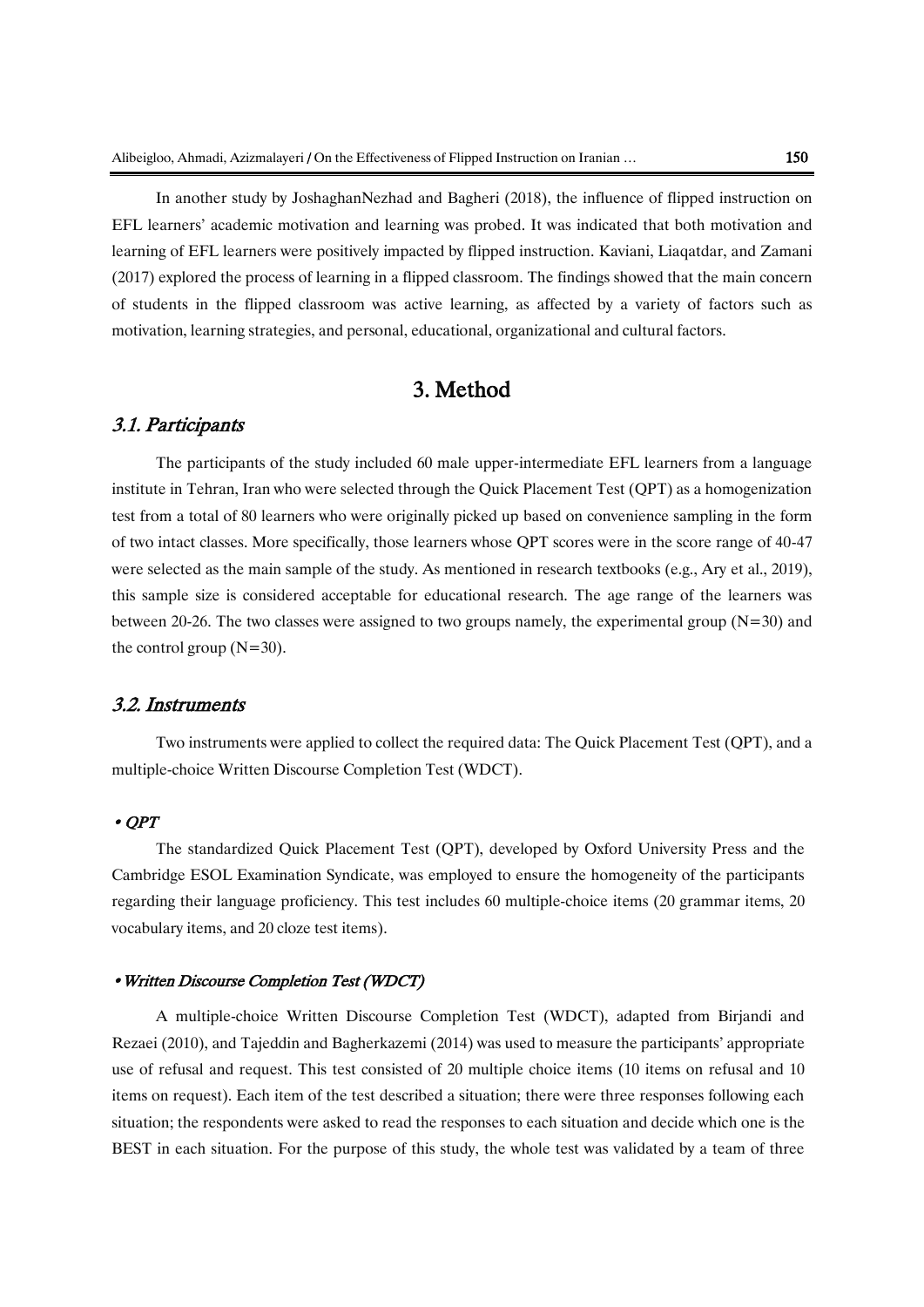In another study by JoshaghanNezhad and Bagheri (2018), the influence of flipped instruction on EFL learners' academic motivation and learning was probed. It was indicated that both motivation and learning of EFL learners were positively impacted by flipped instruction. Kaviani, Liaqatdar, and Zamani (2017) explored the process of learning in a flipped classroom. The findings showed that the main concern of students in the flipped classroom was active learning, as affected by a variety of factors such as motivation, learning strategies, and personal, educational, organizational and cultural factors.

# 3. Method

### 3.1. Participants

The participants of the study included 60 male upper-intermediate EFL learners from a language institute in Tehran, Iran who were selected through the Quick Placement Test (QPT) as a homogenization test from a total of 80 learners who were originally picked up based on convenience sampling in the form of two intact classes. More specifically, those learners whose QPT scores were in the score range of 40-47 were selected as the main sample of the study. As mentioned in research textbooks (e.g., Ary et al., 2019), this sample size is considered acceptable for educational research. The age range of the learners was between 20-26. The two classes were assigned to two groups namely, the experimental group  $(N=30)$  and the control group  $(N=30)$ .

### 3.2. Instruments

Two instruments were applied to collect the required data: The Quick Placement Test (QPT), and a multiple-choice Written Discourse Completion Test (WDCT).

#### • QPT

The standardized Quick Placement Test (QPT), developed by Oxford University Press and the Cambridge ESOL Examination Syndicate, was employed to ensure the homogeneity of the participants regarding their language proficiency. This test includes 60 multiple-choice items (20 grammar items, 20 vocabulary items, and 20 cloze test items).

#### •Written Discourse Completion Test (WDCT)

A multiple-choice Written Discourse Completion Test (WDCT), adapted from Birjandi and Rezaei (2010), and Tajeddin and Bagherkazemi (2014) was used to measure the participants' appropriate use of refusal and request. This test consisted of 20 multiple choice items (10 items on refusal and 10 items on request). Each item of the test described a situation; there were three responses following each situation; the respondents were asked to read the responses to each situation and decide which one is the BEST in each situation. For the purpose of this study, the whole test was validated by a team of three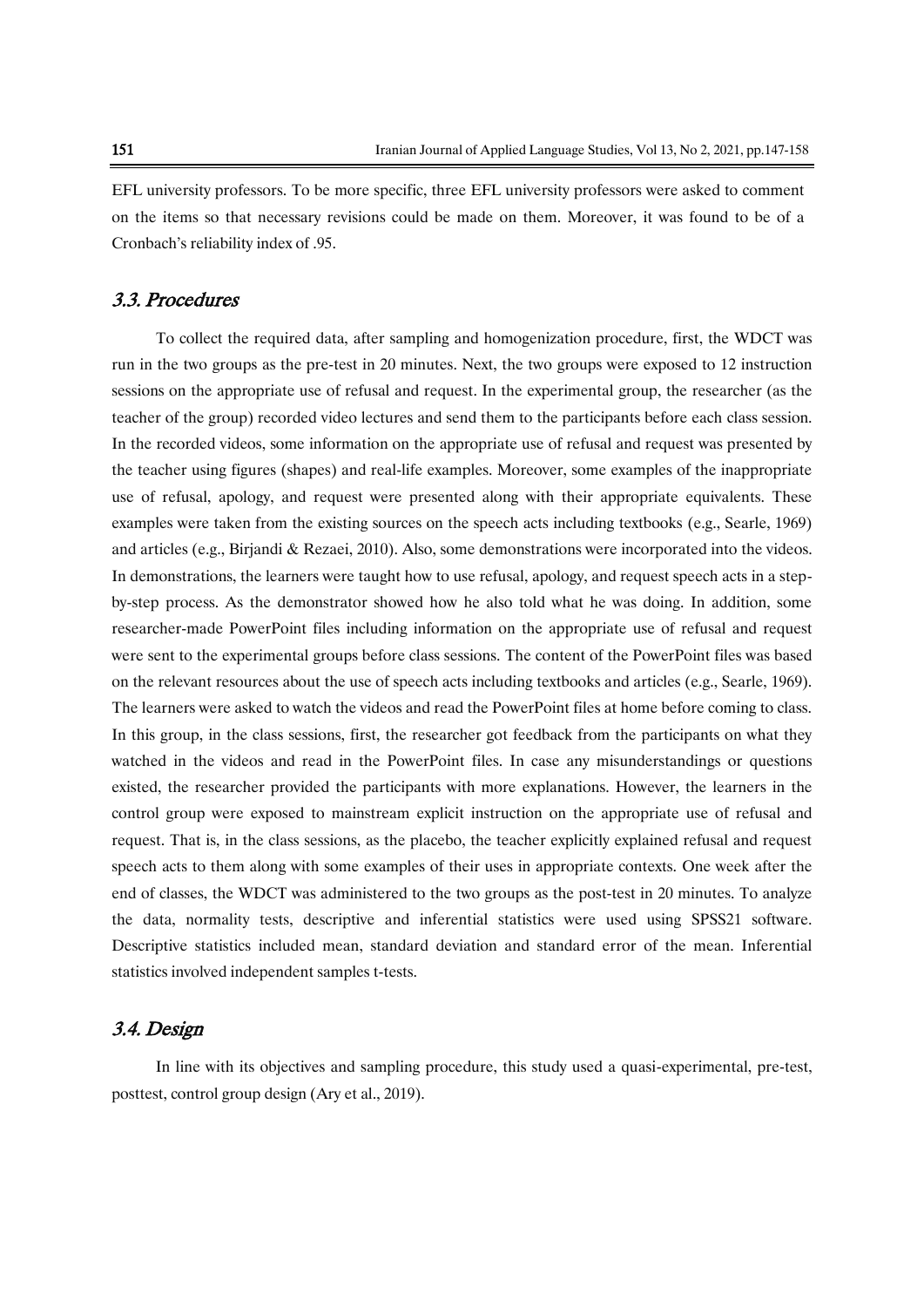EFL university professors. To be more specific, three EFL university professors were asked to comment on the items so that necessary revisions could be made on them. Moreover, it was found to be of a Cronbach's reliability index of .95.

### 3.3. Procedures

To collect the required data, after sampling and homogenization procedure, first, the WDCT was run in the two groups as the pre-test in 20 minutes. Next, the two groups were exposed to 12 instruction sessions on the appropriate use of refusal and request. In the experimental group, the researcher (as the teacher of the group) recorded video lectures and send them to the participants before each class session. In the recorded videos, some information on the appropriate use of refusal and request was presented by the teacher using figures (shapes) and real-life examples. Moreover, some examples of the inappropriate use of refusal, apology, and request were presented along with their appropriate equivalents. These examples were taken from the existing sources on the speech acts including textbooks (e.g., Searle, 1969) and articles (e.g., Birjandi & Rezaei, 2010). Also, some demonstrations were incorporated into the videos. In demonstrations, the learners were taught how to use refusal, apology, and request speech acts in a stepby-step process. As the demonstrator showed how he also told what he was doing. In addition, some researcher-made PowerPoint files including information on the appropriate use of refusal and request were sent to the experimental groups before class sessions. The content of the PowerPoint files was based on the relevant resources about the use of speech acts including textbooks and articles (e.g., Searle, 1969). The learners were asked to watch the videos and read the PowerPoint files at home before coming to class. In this group, in the class sessions, first, the researcher got feedback from the participants on what they watched in the videos and read in the PowerPoint files. In case any misunderstandings or questions existed, the researcher provided the participants with more explanations. However, the learners in the control group were exposed to mainstream explicit instruction on the appropriate use of refusal and request. That is, in the class sessions, as the placebo, the teacher explicitly explained refusal and request speech acts to them along with some examples of their uses in appropriate contexts. One week after the end of classes, the WDCT was administered to the two groups as the post-test in 20 minutes. To analyze the data, normality tests, descriptive and inferential statistics were used using SPSS21 software. Descriptive statistics included mean, standard deviation and standard error of the mean. Inferential statistics involved independent samples t-tests.

### 3.4. Design

In line with its objectives and sampling procedure, this study used a quasi-experimental, pre-test, posttest, control group design (Ary et al., 2019).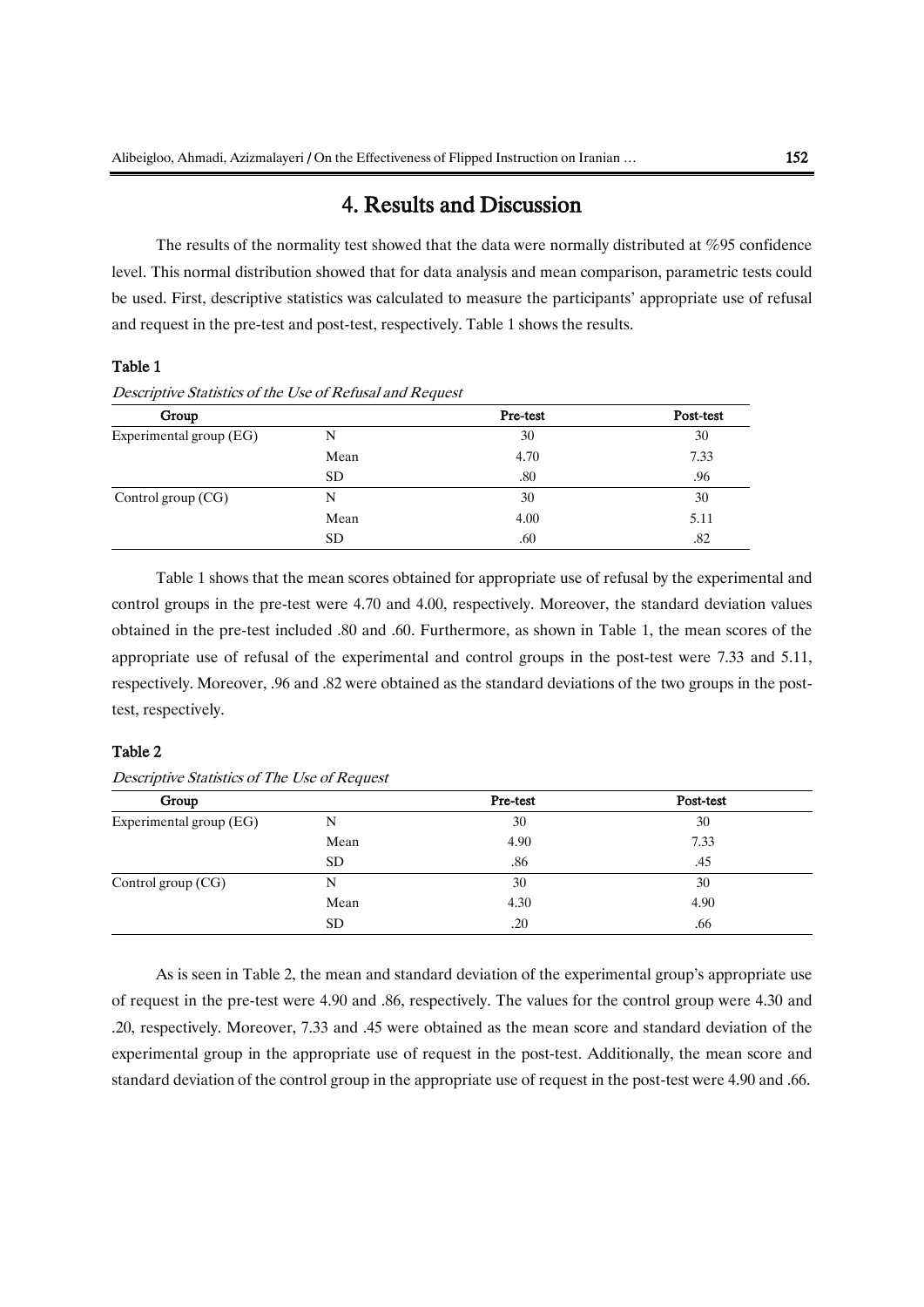### 4. Results and Discussion

The results of the normality test showed that the data were normally distributed at %95 confidence level. This normal distribution showed that for data analysis and mean comparison, parametric tests could be used. First, descriptive statistics was calculated to measure the participants' appropriate use of refusal and request in the pre-test and post-test, respectively. Table 1 shows the results.

### Table 1

Descriptive Statistics of the Use of Refusal and Request

| Group                   |      | Pre-test | Post-test |
|-------------------------|------|----------|-----------|
| Experimental group (EG) | N    | 30       | 30        |
|                         | Mean | 4.70     | 7.33      |
|                         | SD.  | .80      | .96       |
| Control group (CG)      | N    | 30       | 30        |
|                         | Mean | 4.00     | 5.11      |
|                         | SD   | .60      | .82       |

Table 1 shows that the mean scores obtained for appropriate use of refusal by the experimental and control groups in the pre-test were 4.70 and 4.00, respectively. Moreover, the standard deviation values obtained in the pre-test included .80 and .60. Furthermore, as shown in Table 1, the mean scores of the appropriate use of refusal of the experimental and control groups in the post-test were 7.33 and 5.11, respectively. Moreover, .96 and .82 were obtained as the standard deviations of the two groups in the posttest, respectively.

#### Table 2

| Group                   |      | Pre-test | Post-test |
|-------------------------|------|----------|-----------|
| Experimental group (EG) | N    | 30       | 30        |
|                         | Mean | 4.90     | 7.33      |
|                         | SD.  | .86      | .45       |
| Control group (CG)      | N    | 30       | 30        |
|                         | Mean | 4.30     | 4.90      |
|                         | SD.  | .20      | .66       |

Descriptive Statistics of The Use of Request

As is seen in Table 2, the mean and standard deviation of the experimental group's appropriate use of request in the pre-test were 4.90 and .86, respectively. The values for the control group were 4.30 and .20, respectively. Moreover, 7.33 and .45 were obtained as the mean score and standard deviation of the experimental group in the appropriate use of request in the post-test. Additionally, the mean score and standard deviation of the control group in the appropriate use of request in the post-test were 4.90 and .66.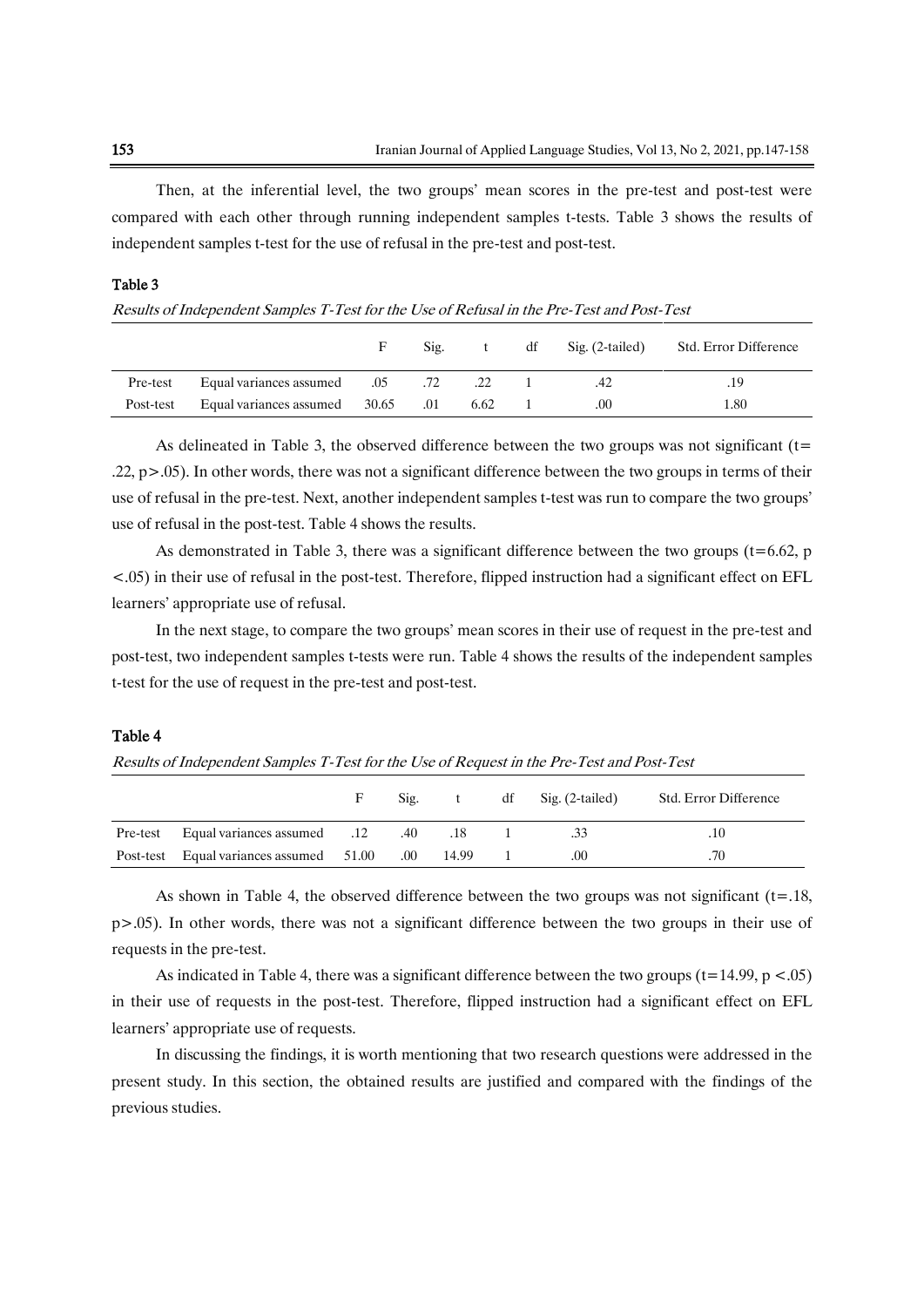Then, at the inferential level, the two groups' mean scores in the pre-test and post-test were compared with each other through running independent samples t-tests. Table 3 shows the results of independent samples t-test for the use of refusal in the pre-test and post-test.

| Results of Independent Samples T-Test for the Use of Refusal in the Pre-Test and Post-Test |                                            |   |      |     |    |                 |                       |
|--------------------------------------------------------------------------------------------|--------------------------------------------|---|------|-----|----|-----------------|-----------------------|
|                                                                                            |                                            | F | Sig. |     | df | Sig. (2-tailed) | Std. Error Difference |
| Pre-test                                                                                   | Equal variances assumed 05 .72             |   |      | .22 |    |                 | .19                   |
| Post-test                                                                                  | Equal variances assumed $30.65$ .01 $6.62$ |   |      |     |    | .00             | 1.80                  |

As delineated in Table 3, the observed difference between the two groups was not significant ( $t=$ .22, p>.05). In other words, there was not a significant difference between the two groups in terms of their use of refusal in the pre-test. Next, another independent samples t-test was run to compare the two groups' use of refusal in the post-test. Table 4 shows the results.

As demonstrated in Table 3, there was a significant difference between the two groups ( $t=6.62$ , p <.05) in their use of refusal in the post-test. Therefore, flipped instruction had a significant effect on EFL learners' appropriate use of refusal.

In the next stage, to compare the two groups' mean scores in their use of request in the pre-test and post-test, two independent samples t-tests were run. Table 4 shows the results of the independent samples t-test for the use of request in the pre-test and post-test.

#### Table 4

Results of Independent Samples T-Test for the Use of Request in the Pre-Test and Post-Test

|                                                     | F. | $\text{Sig.}$ t | $df$ Sig. (2-tailed) | Std. Error Difference |
|-----------------------------------------------------|----|-----------------|----------------------|-----------------------|
| 18. Pre-test Equal variances assumed 12 .40 .18     |    |                 | .33                  | .10                   |
| Post-test Equal variances assumed 51.00 .00 14.99 1 |    |                 | .00                  | .70                   |

As shown in Table 4, the observed difference between the two groups was not significant  $(t=18, t=0.16)$ p>.05). In other words, there was not a significant difference between the two groups in their use of requests in the pre-test.

As indicated in Table 4, there was a significant difference between the two groups ( $t=14.99$ ,  $p < .05$ ) in their use of requests in the post-test. Therefore, flipped instruction had a significant effect on EFL learners' appropriate use of requests.

In discussing the findings, it is worth mentioning that two research questions were addressed in the present study. In this section, the obtained results are justified and compared with the findings of the previous studies.

Table 3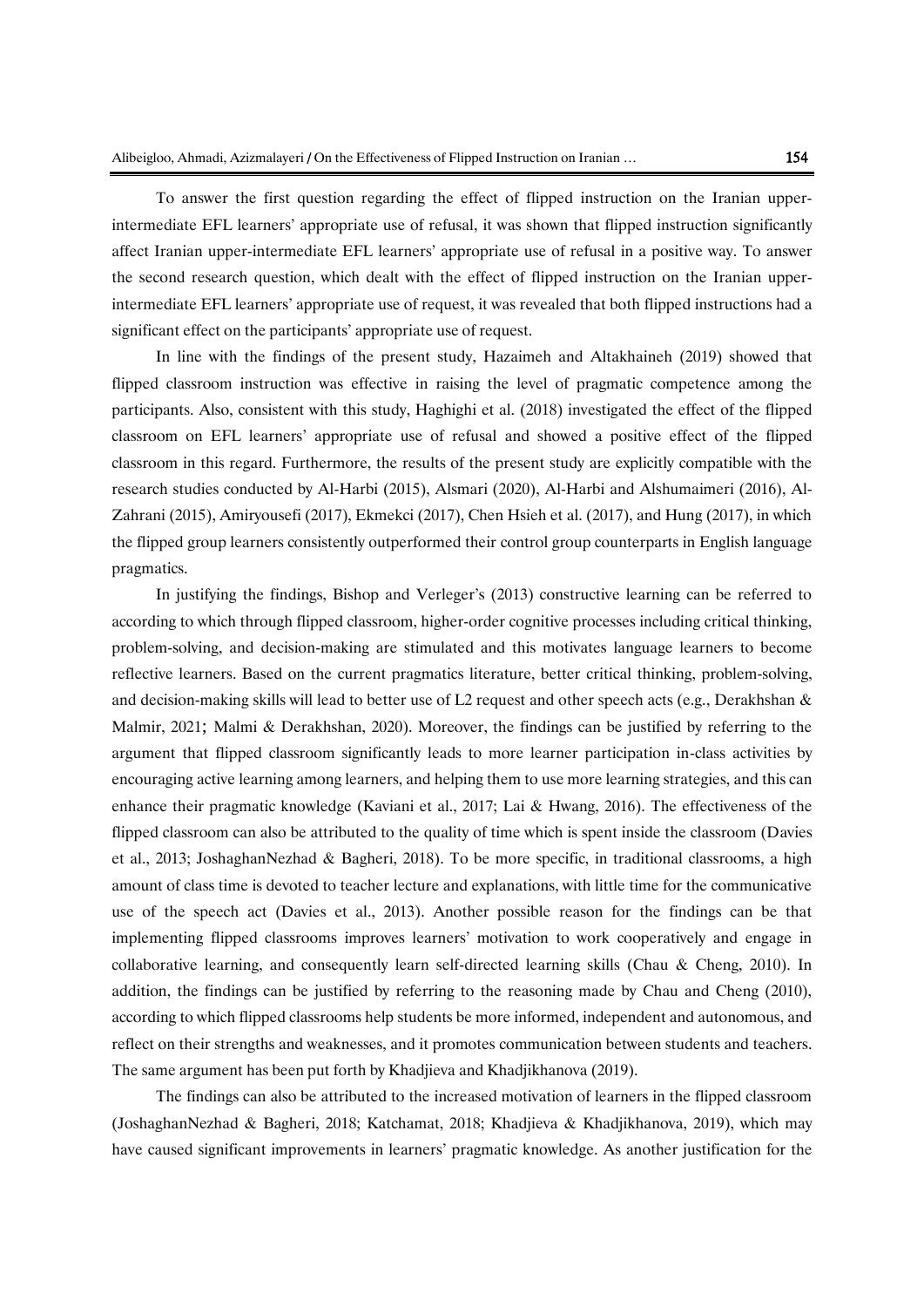To answer the first question regarding the effect of flipped instruction on the Iranian upperintermediate EFL learners' appropriate use of refusal, it was shown that flipped instruction significantly affect Iranian upper-intermediate EFL learners' appropriate use of refusal in a positive way. To answer the second research question, which dealt with the effect of flipped instruction on the Iranian upperintermediate EFL learners' appropriate use of request, it was revealed that both flipped instructions had a significant effect on the participants' appropriate use of request.

In line with the findings of the present study, Hazaimeh and [Altakhaineh](http://ju-jo.academia.edu/AbdelRahmanMitibAltakhaineh?swp=tc-au-40805157) (2019) showed that flipped classroom instruction was effective in raising the level of pragmatic competence among the participants. Also, consistent with this study, Haghighi et al. (2018) investigated the effect of the flipped classroom on EFL learners' appropriate use of refusal and showed a positive effect of the flipped classroom in this regard. Furthermore, the results of the present study are explicitly compatible with the research studies conducted by Al-Harbi (2015), Alsmari (2020), Al-Harbi and Alshumaimeri (2016), Al-Zahrani (2015), Amiryousefi (2017), Ekmekci (2017), Chen Hsieh et al. (2017), and Hung (2017), in which the flipped group learners consistently outperformed their control group counterparts in English language pragmatics.

In justifying the findings, Bishop and Verleger's (2013) constructive learning can be referred to according to which through flipped classroom, higher-order cognitive processes including critical thinking, problem-solving, and decision-making are stimulated and this motivates language learners to become reflective learners. Based on the current pragmatics literature, better critical thinking, problem-solving, and decision-making skills will lead to better use of L2 request and other speech acts (e.g., Derakhshan & Malmir, 2021; Malmi & Derakhshan, 2020). Moreover, the findings can be justified by referring to the argument that flipped classroom significantly leads to more learner participation in-class activities by encouraging active learning among learners, and helping them to use more learning strategies, and this can enhance their pragmatic knowledge (Kaviani et al., 2017; Lai & Hwang, 2016). The effectiveness of the flipped classroom can also be attributed to the quality of time which is spent inside the classroom (Davies et al., 2013; JoshaghanNezhad & Bagheri, 2018). To be more specific, in traditional classrooms, a high amount of class time is devoted to teacher lecture and explanations, with little time for the communicative use of the speech act (Davies et al., 2013). Another possible reason for the findings can be that implementing flipped classrooms improves learners' motivation to work cooperatively and engage in collaborative learning, and consequently learn self-directed learning skills (Chau & Cheng, 2010). In addition, the findings can be justified by referring to the reasoning made by Chau and Cheng (2010), according to which flipped classrooms help students be more informed, independent and autonomous, and reflect on their strengths and weaknesses, and it promotes communication between students and teachers. The same argument has been put forth by Khadjieva and Khadjikhanova (2019).

The findings can also be attributed to the increased motivation of learners in the flipped classroom (JoshaghanNezhad & Bagheri, 2018; Katchamat, 2018; Khadjieva & Khadjikhanova, 2019), which may have caused significant improvements in learners' pragmatic knowledge. As another justification for the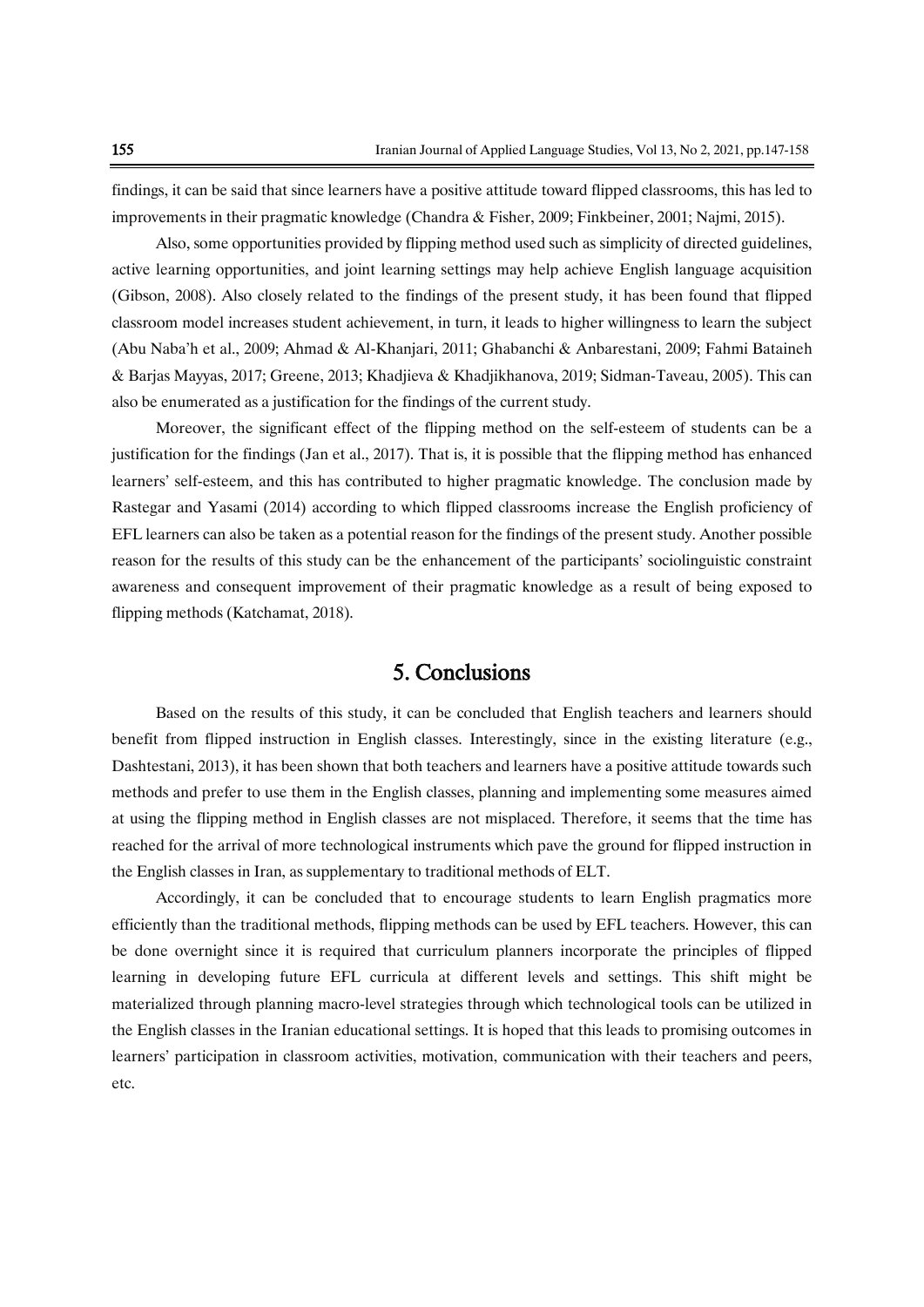findings, it can be said that since learners have a positive attitude toward flipped classrooms, this has led to improvements in their pragmatic knowledge (Chandra & Fisher, 2009; Finkbeiner, 2001; Najmi, 2015).

Also, some opportunities provided by flipping method used such as simplicity of directed guidelines, active learning opportunities, and joint learning settings may help achieve English language acquisition (Gibson, 2008). Also closely related to the findings of the present study, it has been found that flipped classroom model increases student achievement, in turn, it leads to higher willingness to learn the subject (Abu Naba'h et al., 2009; Ahmad & Al-Khanjari, 2011; Ghabanchi & Anbarestani, 2009; Fahmi Bataineh & Barjas Mayyas, 2017; Greene, 2013; Khadjieva & Khadjikhanova, 2019; Sidman-Taveau, 2005). This can also be enumerated as a justification for the findings of the current study.

Moreover, the significant effect of the flipping method on the self-esteem of students can be a justification for the findings (Jan et al., 2017). That is, it is possible that the flipping method has enhanced learners' self-esteem, and this has contributed to higher pragmatic knowledge. The conclusion made by Rastegar and Yasami (2014) according to which flipped classrooms increase the English proficiency of EFL learners can also be taken as a potential reason for the findings of the present study. Another possible reason for the results of this study can be the enhancement of the participants' sociolinguistic constraint awareness and consequent improvement of their pragmatic knowledge as a result of being exposed to flipping methods (Katchamat, 2018).

# 5. Conclusions

Based on the results of this study, it can be concluded that English teachers and learners should benefit from flipped instruction in English classes. Interestingly, since in the existing literature (e.g., Dashtestani, 2013), it has been shown that both teachers and learners have a positive attitude towards such methods and prefer to use them in the English classes, planning and implementing some measures aimed at using the flipping method in English classes are not misplaced. Therefore, it seems that the time has reached for the arrival of more technological instruments which pave the ground for flipped instruction in the English classes in Iran, as supplementary to traditional methods of ELT.

Accordingly, it can be concluded that to encourage students to learn English pragmatics more efficiently than the traditional methods, flipping methods can be used by EFL teachers. However, this can be done overnight since it is required that curriculum planners incorporate the principles of flipped learning in developing future EFL curricula at different levels and settings. This shift might be materialized through planning macro-level strategies through which technological tools can be utilized in the English classes in the Iranian educational settings. It is hoped that this leads to promising outcomes in learners' participation in classroom activities, motivation, communication with their teachers and peers, etc.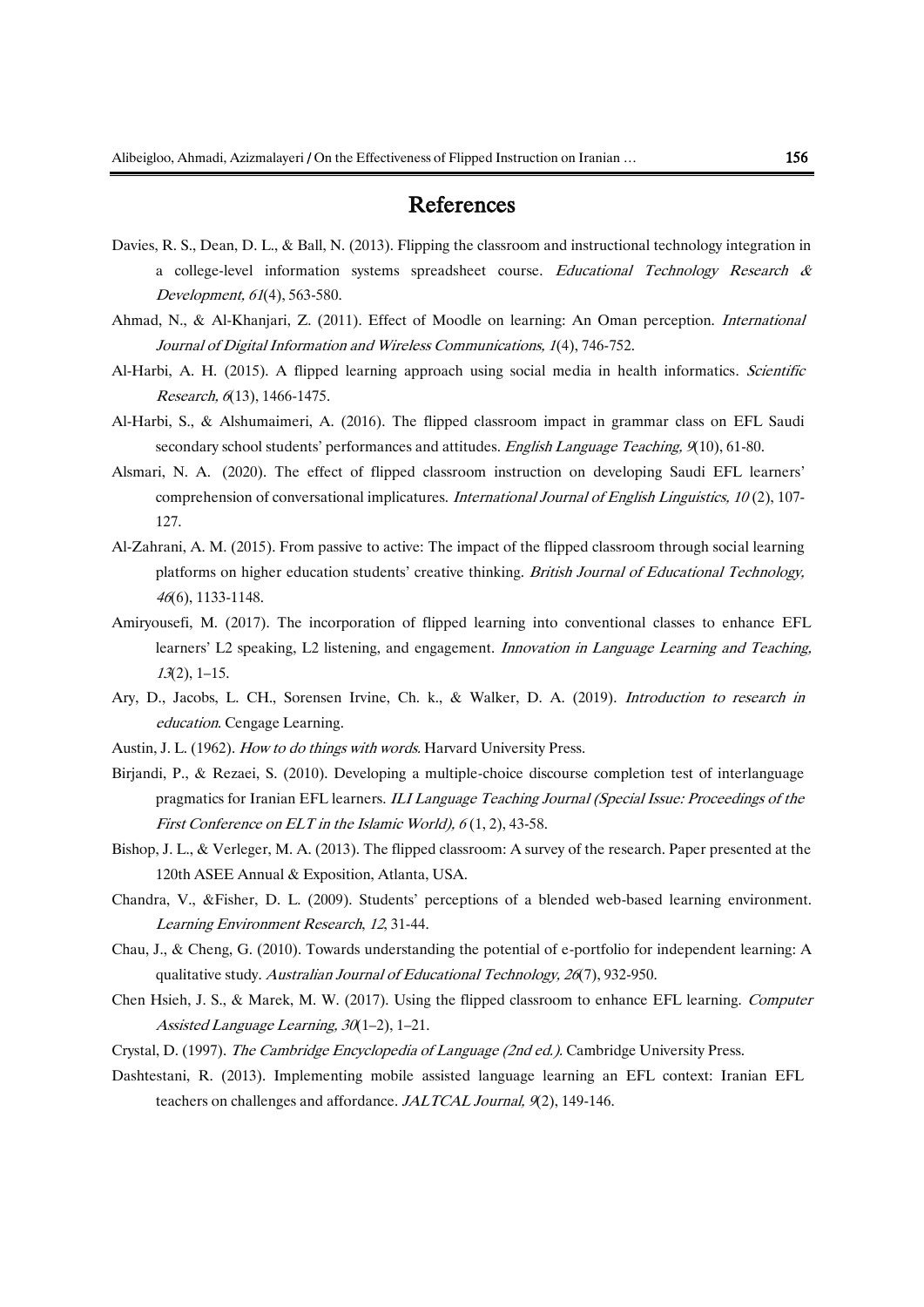### References

- Davies, R. S., Dean, D. L., & Ball, N. (2013). Flipping the classroom and instructional technology integration in a college-level information systems spreadsheet course. Educational Technology Research & Development, 61(4), 563-580.
- Ahmad, N., & Al-Khanjari, Z. (2011). Effect of Moodle on learning: An Oman perception. International Journal of Digital Information and Wireless Communications, 1(4), 746-752.
- Al-Harbi, A. H. (2015). A flipped learning approach using social media in health informatics. Scientific Research, 6(13), 1466-1475.
- Al-Harbi, S., & Alshumaimeri, A. (2016). The flipped classroom impact in grammar class on EFL Saudi secondary school students' performances and attitudes. English Language Teaching, 9(10), 61-80.
- Alsmari, N. A. (2020). The effect of flipped classroom instruction on developing Saudi EFL learners' comprehension of conversational implicatures. International Journal of English Linguistics, 10 (2), 107- 127.
- Al-Zahrani, A. M. (2015). From passive to active: The impact of the flipped classroom through social learning platforms on higher education students' creative thinking. British Journal of Educational Technology, <sup>46</sup>(6), 1133-1148.
- Amiryousefi, M. (2017). The incorporation of flipped learning into conventional classes to enhance EFL learners' L2 speaking, L2 listening, and engagement. *Innovation in Language Learning and Teaching*, <sup>13</sup>(2), 1–15.
- Ary, D., Jacobs, L. CH., Sorensen Irvine, Ch. k., & Walker, D. A. (2019). Introduction to research in education. Cengage Learning.
- Austin, J. L. (1962). How to do things with words. Harvard University Press.
- Birjandi, P., & Rezaei, S. (2010). Developing a multiple-choice discourse completion test of interlanguage pragmatics for Iranian EFL learners. ILI Language Teaching Journal (Special Issue: Proceedings of the First Conference on ELT in the Islamic World),  $6(1, 2)$ , 43-58.
- Bishop, J. L., & Verleger, M. A. (2013). The flipped classroom: A survey of the research. Paper presented at the 120th ASEE Annual & Exposition, Atlanta, USA.
- Chandra, V., &Fisher, D. L. (2009). Students' perceptions of a blended web-based learning environment. Learning Environment Research, 12, 31-44.
- Chau, J., & Cheng, G. (2010). Towards understanding the potential of e-portfolio for independent learning: A qualitative study. Australian Journal of Educational Technology, <sup>26</sup>(7), 932-950.
- Chen Hsieh, J. S., & Marek, M. W. (2017). Using the flipped classroom to enhance EFL learning. Computer Assisted Language Learning, 30(1–2), 1–21.
- Crystal, D. (1997). The Cambridge Encyclopedia of Language (2nd ed.). Cambridge University Press.
- Dashtestani, R. (2013). Implementing mobile assisted language learning an EFL context: Iranian EFL teachers on challenges and affordance. JALTCAL Journal, 9(2), 149-146.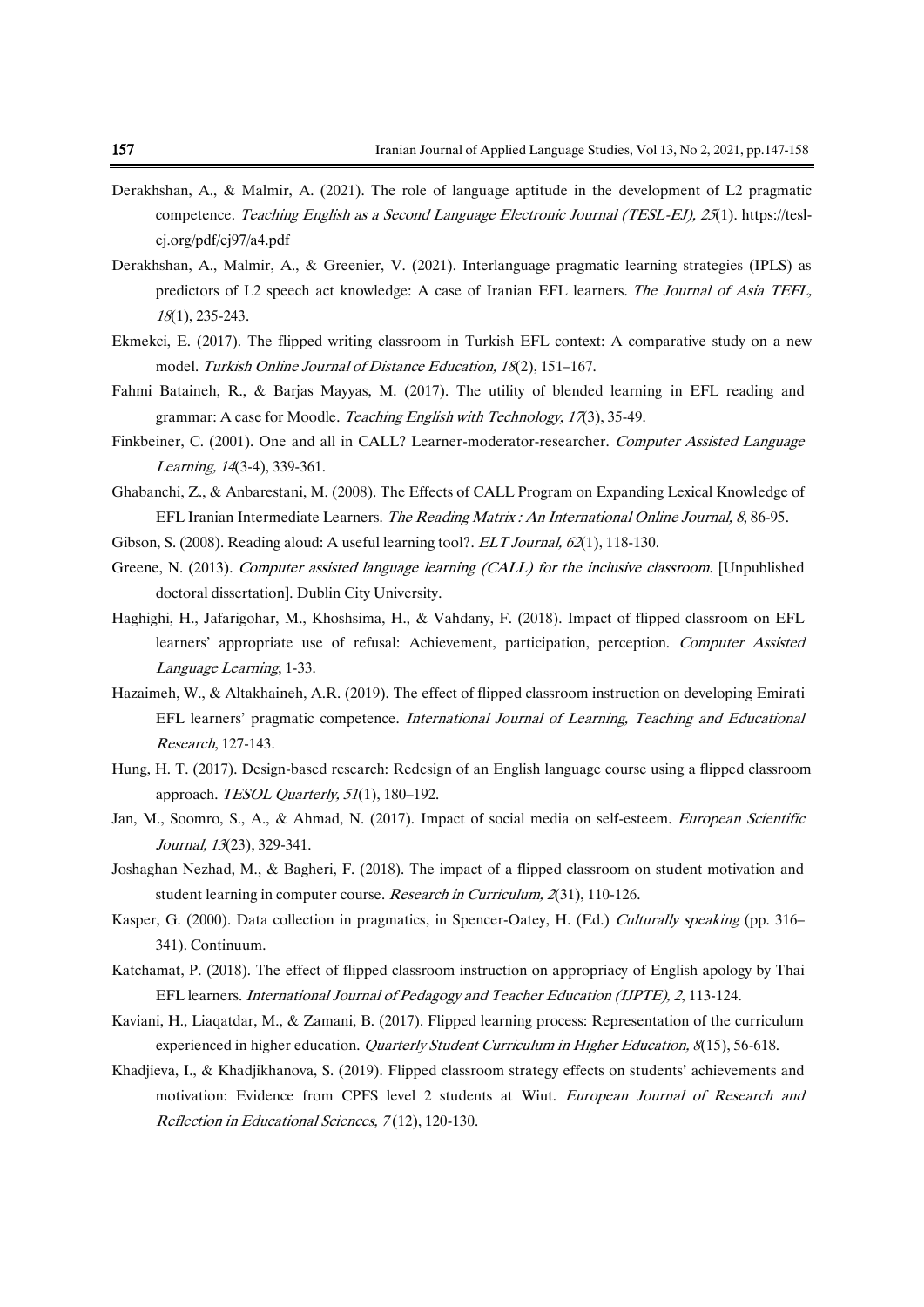- Derakhshan, A., & Malmir, A. (2021). The role of language aptitude in the development of L2 pragmatic competence. Teaching English as a Second Language Electronic Journal (TESL-EJ), 25(1). [https://tesl](https://tesl-ej.org/pdf/ej97/a4.pdf)[ej.org/pdf/ej97/a4.pdf](https://tesl-ej.org/pdf/ej97/a4.pdf)
- Derakhshan, A., Malmir, A., & Greenier, V. (2021). Interlanguage pragmatic learning strategies (IPLS) as predictors of L2 speech act knowledge: A case of Iranian EFL learners. The Journal of Asia TEFL, <sup>18</sup>(1), 235-243.
- Ekmekci, E. (2017). The flipped writing classroom in Turkish EFL context: A comparative study on a new model. Turkish Online Journal of Distance Education, 18(2), 151–167.
- Fahmi Bataineh, R., & Barjas Mayyas, M. (2017). The utility of blended learning in EFL reading and grammar: A case for Moodle. Teaching English with Technology, 17(3), 35-49.
- Finkbeiner, C. (2001). One and all in CALL? Learner-moderator-researcher. Computer Assisted Language Learning, <sup>14</sup>(3-4), 339-361.
- Ghabanchi, Z., & Anbarestani, M. (2008). The Effects of CALL Program on Expanding Lexical Knowledge of EFL Iranian Intermediate Learners. The Reading Matrix : An International Online Journal, 8, 86-95.
- Gibson, S. (2008). Reading aloud: A useful learning tool?. *ELT Journal*, 62(1), 118-130.
- Greene, N. (2013). Computer assisted language learning (CALL) for the inclusive classroom. [Unpublished doctoral dissertation]. Dublin City University.
- Haghighi, H., Jafarigohar, M., Khoshsima, H., & Vahdany, F. (2018). Impact of flipped classroom on EFL learners' appropriate use of refusal: Achievement, participation, perception. Computer Assisted Language Learning, 1-33.
- Hazaimeh, W., & [Altakhaineh,](http://ju-jo.academia.edu/AbdelRahmanMitibAltakhaineh?swp=tc-au-40805157) A.R. (2019). The effect of flipped classroom instruction on developing Emirati EFL learners' pragmatic competence. International Journal of Learning, Teaching and Educational Research, 127-143.
- Hung, H. T. (2017). Design-based research: Redesign of an English language course using a flipped classroom approach. TESOL Quarterly, 51(1), 180-192.
- Jan, M., Soomro, S., A., & Ahmad, N. (2017). Impact of social media on self-esteem. *European Scientific* [Journal,](https://www.researchgate.net/journal/1857-7881_European_Scientific_Journal) <sup>13</sup>(23), 329-341.
- Joshaghan Nezhad, M., & Bagheri, F. (2018). The impact of a flipped classroom on student motivation and student learning in computer course. Research in Curriculum, 2(31), 110-126.
- Kasper, G. (2000). Data collection in pragmatics, in Spencer-Oatey, H. (Ed.) Culturally speaking (pp. 316– 341). Continuum.
- Katchamat, P. (2018). The effect of flipped classroom instruction on appropriacy of English apology by Thai EFL learners. International Journal of Pedagogy and Teacher Education (IJPTE), 2, 113-124.
- Kaviani, H., Liaqatdar, M., & Zamani, B. (2017). Flipped learning process: Representation of the curriculum experienced in higher education. *Quarterly Student Curriculum in Higher Education*, 8(15), 56-618.
- Khadjieva, I., & Khadjikhanova, S. (2019). Flipped classroom strategy effects on students' achievements and motivation: Evidence from CPFS level 2 students at Wiut. European Journal of Research and Reflection in Educational Sciences, 7 (12), 120-130.